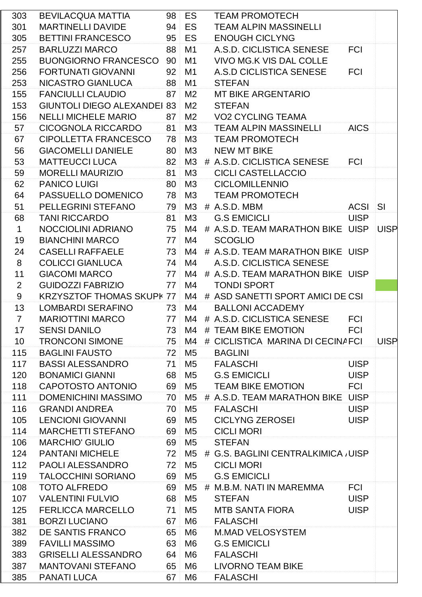| 303            | BEVILACQUA MATTIA                  |                 | 98 ES          | <b>TEAM PROMOTECH</b>                                         |             |             |
|----------------|------------------------------------|-----------------|----------------|---------------------------------------------------------------|-------------|-------------|
| 301            | <b>MARTINELLI DAVIDE</b>           |                 | 94 ES          | <b>TEAM ALPIN MASSINELLI</b>                                  |             |             |
| 305            | <b>BETTINI FRANCESCO</b>           |                 | 95 ES          | <b>ENOUGH CICLYNG</b>                                         |             |             |
| 257            | <b>BARLUZZI MARCO</b>              | 88 <sup>1</sup> | M1             | A.S.D. CICLISTICA SENESE                                      | <b>FCI</b>  |             |
| 255            | <b>BUONGIORNO FRANCESCO   90  </b> |                 | M <sub>1</sub> | <b>VIVO MG.K VIS DAL COLLE</b>                                |             |             |
| 256            | FORTUNATI GIOVANNI                 | 92 <sup>1</sup> | M1             | A.S.D CICLISTICA SENESE                                       | <b>FCI</b>  |             |
| 253            | NICASTRO GIANLUCA                  | 88 M1           |                | <b>STEFAN</b>                                                 |             |             |
| 155            | FANCIULLI CLAUDIO 87 M2            |                 |                | MT BIKE ARGENTARIO                                            |             |             |
| 153            | <b>GIUNTOLI DIEGO ALEXANDEI 83</b> |                 | M <sub>2</sub> | <b>STEFAN</b>                                                 |             |             |
| 156            | <b>NELLI MICHELE MARIO</b>         | 87 <sup>1</sup> | M <sub>2</sub> | <b>VO2 CYCLING TEAMA</b>                                      |             |             |
| 57             | CICOGNOLA RICCARDO                 |                 | 81 M3          | <b>TEAM ALPIN MASSINELLI</b>                                  | <b>AICS</b> |             |
| 67             | CIPOLLETTA FRANCESCO               |                 | 78 M3          | <b>TEAM PROMOTECH</b>                                         |             |             |
| 56             | <b>GIACOMELLI DANIELE</b>          |                 | 80 M3          | <b>NEW MT BIKE</b>                                            |             |             |
| 53             | <b>MATTEUCCI LUCA</b>              |                 | $82$ M3        | # A.S.D. CICLISTICA SENESE                                    | <b>FCI</b>  |             |
| 59             | <b>MORELLI MAURIZIO</b>            | $81$ M3         |                | <b>CICLI CASTELLACCIO</b>                                     |             |             |
| 62             | <b>PANICO LUIGI</b>                |                 | 80 M3          | <b>CICLOMILLENNIO</b>                                         |             |             |
| 64             | PASSUELLO DOMENICO                 | 78 M3           |                | <b>TEAM PROMOTECH</b>                                         |             |             |
| 51             | PELLEGRINI STEFANO                 |                 | 79 M3          | # A.S.D. MBM                                                  | ACSI SI     |             |
| 68             | <b>TANI RICCARDO</b>               |                 | 81 M3          | <b>G.S EMICICLI</b>                                           | <b>UISP</b> |             |
| $\mathbf 1$    | NOCCIOLINI ADRIANO                 | 75 M4           |                | # A.S.D. TEAM MARATHON BIKE UISP UISP                         |             |             |
| 19             | <b>BIANCHINI MARCO</b>             | $77$ M4         |                | <b>SCOGLIO</b>                                                |             |             |
| 24             | <b>CASELLI RAFFAELE</b>            |                 | $173$ M4       | # A.S.D. TEAM MARATHON BIKE UISP                              |             |             |
| 8              | <b>COLICCI GIANLUCA</b>            | $74$ M4         |                | A.S.D. CICLISTICA SENESE                                      |             |             |
| 11             | <b>GIACOMI MARCO</b>               | $-77$           | M4             | # A.S.D. TEAM MARATHON BIKE UISP                              |             |             |
| 2              | <b>GUIDOZZI FABRIZIO</b>           | 77              | M4             | <b>TONDI SPORT</b>                                            |             |             |
| 9              |                                    |                 |                | KRZYSZTOF THOMAS SKUPK 77 M4 # ASD SANETTI SPORT AMICI DE CSI |             |             |
| 13             | LOMBARDI SERAFINO 73 M4            |                 |                | <b>BALLONI ACCADEMY</b>                                       |             |             |
| $\overline{7}$ | MARIOTTINI MARCO 77                |                 |                | M4 # A.S.D. CICLISTICA SENESE                                 | <b>FCI</b>  |             |
| 17             | <b>SENSI DANILO</b>                | 73              | M4             | # TEAM BIKE EMOTION                                           | <b>FCI</b>  |             |
| 10             | <b>TRONCONI SIMONE</b>             | 75              | M4             | # CICLISTICA MARINA DI CECINAFCI                              |             | <b>UISP</b> |
| 115            | <b>BAGLINI FAUSTO</b>              | 72 <sup>1</sup> | M5             | <b>BAGLINI</b>                                                |             |             |
| 117            | <b>BASSI ALESSANDRO</b>            | 71              | M <sub>5</sub> | <b>FALASCHI</b>                                               | <b>UISP</b> |             |
| 120            | <b>BONAMICI GIANNI</b>             | 68              | M5             | <b>G.S EMICICLI</b>                                           | <b>UISP</b> |             |
| 118            | CAPOTOSTO ANTONIO                  |                 | 69 M5          | <b>TEAM BIKE EMOTION</b>                                      | <b>FCI</b>  |             |
| 111            | DOMENICHINI MASSIMO                | 70              | M5             | # A.S.D. TEAM MARATHON BIKE UISP                              |             |             |
| 116            | <b>GRANDI ANDREA</b>               | 70              | M <sub>5</sub> | <b>FALASCHI</b>                                               | <b>UISP</b> |             |
| 105            | <b>LENCIONI GIOVANNI</b>           | 69              | M5             | <b>CICLYNG ZEROSEI</b>                                        | <b>UISP</b> |             |
| 114            | <b>MARCHETTI STEFANO</b>           | 69              | M5             | <b>CICLI MORI</b>                                             |             |             |
| 106            | <b>MARCHIO' GIULIO</b>             | 69              | M5             | <b>STEFAN</b>                                                 |             |             |
| 124            | <b>PANTANI MICHELE</b>             |                 | 72 M5          | # G.S. BAGLINI CENTRALKIMICA , UISP                           |             |             |
| 112            | PAOLI ALESSANDRO                   | 72              | M5             | <b>CICLI MORI</b>                                             |             |             |
| 119            | <b>TALOCCHINI SORIANO</b>          | 69              | M5             | <b>G.S EMICICLI</b>                                           |             |             |
| 108            | <b>TOTO ALFREDO</b>                | 69              | M5             | # M.B.M. NATI IN MAREMMA                                      | <b>FCI</b>  |             |
| 107            | <b>VALENTINI FULVIO</b>            | 68              | M5             | <b>STEFAN</b>                                                 | <b>UISP</b> |             |
| 125            | <b>FERLICCA MARCELLO</b>           | 71              | M5             | MTB SANTA FIORA                                               | <b>UISP</b> |             |
| 381            | <b>BORZI LUCIANO</b>               | 67              | M6             | <b>FALASCHI</b>                                               |             |             |
| 382            | DE SANTIS FRANCO                   | 65              | M6             | <b>M.MAD VELOSYSTEM</b>                                       |             |             |
| 389            | <b>FAVILLI MASSIMO</b>             | 63              | M6             | <b>G.S EMICICLI</b>                                           |             |             |
| 383            | <b>GRISELLI ALESSANDRO</b>         | 64              | M6             | <b>FALASCHI</b>                                               |             |             |
| 387            | <b>MANTOVANI STEFANO</b>           | 65              | M6             | LIVORNO TEAM BIKE                                             |             |             |
| 385            | <b>PANATI LUCA</b>                 | 67              | M <sub>6</sub> | <b>FALASCHI</b>                                               |             |             |
|                |                                    |                 |                |                                                               |             |             |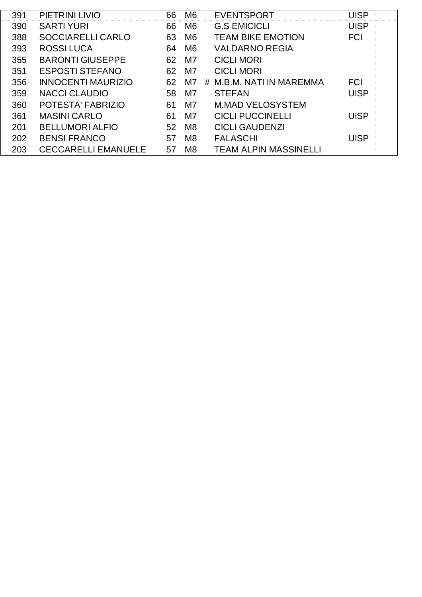| 391 | PIETRINI LIVIO             | 66              | M6             | <b>EVENTSPORT</b>            | UISP        |
|-----|----------------------------|-----------------|----------------|------------------------------|-------------|
| 390 | <b>SARTI YURI</b>          | 66              | M <sub>6</sub> | <b>G.S EMICICLI</b>          | <b>UISP</b> |
| 388 | <b>SOCCIARELLI CARLO</b>   | 63              | M <sub>6</sub> | <b>TEAM BIKE EMOTION</b>     | <b>FCI</b>  |
| 393 | <b>ROSSILUCA</b>           | 64              | M <sub>6</sub> | <b>VALDARNO REGIA</b>        |             |
| 355 | <b>BARONTI GIUSEPPE</b>    | 62 <sup>2</sup> | M7             | <b>CICLI MORI</b>            |             |
| 351 | <b>ESPOSTI STEFANO</b>     | 62              | M7             | <b>CICLI MORI</b>            |             |
| 356 | <b>INNOCENTI MAURIZIO</b>  | 62 <sup>1</sup> | M7             | # M.B.M. NATI IN MAREMMA     | <b>FCI</b>  |
| 359 | <b>NACCI CLAUDIO</b>       | 58              | M7             | <b>STEFAN</b>                | UISP        |
| 360 | POTESTA' FABRIZIO          | 61              | M7             | <b>M.MAD VELOSYSTEM</b>      |             |
| 361 | <b>MASINI CARLO</b>        | 61              | M7             | <b>CICLI PUCCINELLI</b>      | UISP        |
| 201 | <b>BELLUMORI ALFIO</b>     | 52              | M <sub>8</sub> | <b>CICLI GAUDENZI</b>        |             |
| 202 | <b>BENSI FRANCO</b>        | 57              | M <sub>8</sub> | <b>FALASCHI</b>              | <b>UISP</b> |
| 203 | <b>CECCARELLI EMANUELE</b> | 57              | M <sub>8</sub> | <b>TEAM ALPIN MASSINELLI</b> |             |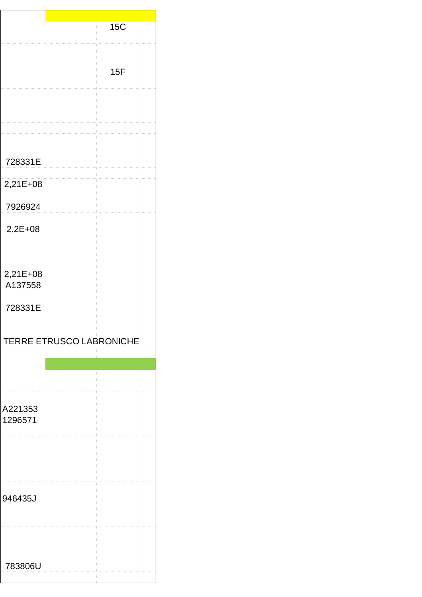|                     | <b>15C</b>               |  |
|---------------------|--------------------------|--|
|                     | 15F                      |  |
|                     |                          |  |
|                     |                          |  |
| 728331E             |                          |  |
| 2,21E+08            |                          |  |
| 7926924             |                          |  |
| $2,2E+08$           |                          |  |
| 2,21E+08<br>A137558 |                          |  |
| 728331E             |                          |  |
|                     | TERRE ETRUSCO LABRONICHE |  |
|                     |                          |  |
| A221353<br>1296571  |                          |  |
|                     |                          |  |
| 946435J             |                          |  |
|                     |                          |  |
| 783806U             |                          |  |